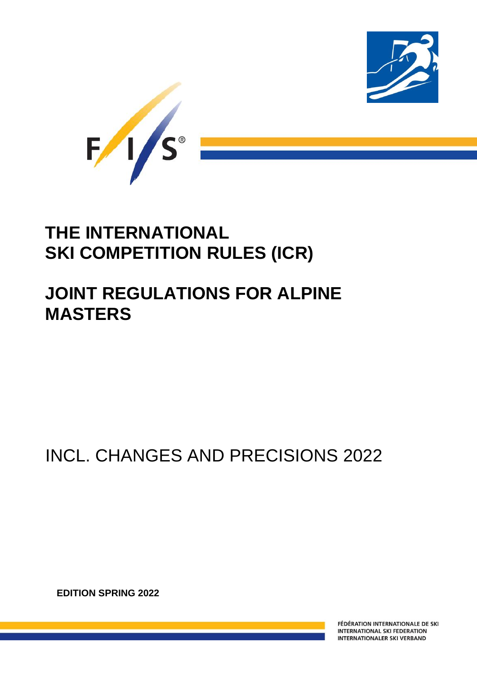



# **THE INTERNATIONAL SKI COMPETITION RULES (ICR)**

# **JOINT REGULATIONS FOR ALPINE MASTERS**

# INCL. CHANGES AND PRECISIONS 2022

**EDITION SPRING 2022**

FIS Masters Rules Alpine Skiing

FÉDÉRATION INTERNATIONALE DE SKI **INTERNATIONAL SKI FEDERATION INTERNATIONALER SKI VERBAND**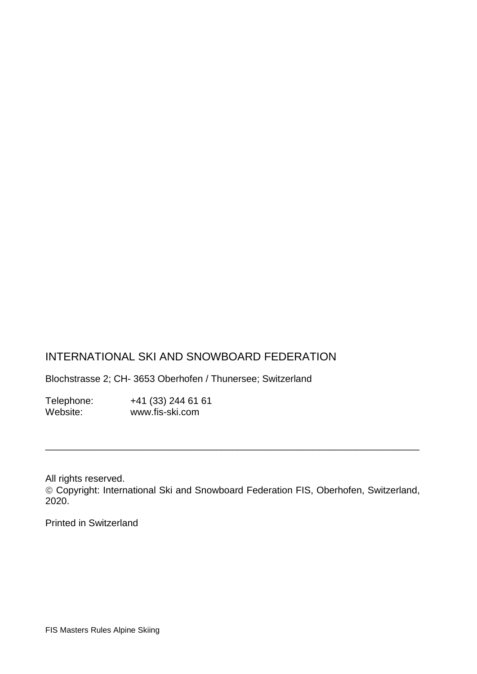# INTERNATIONAL SKI AND SNOWBOARD FEDERATION

Blochstrasse 2; CH- 3653 Oberhofen / Thunersee; Switzerland

Telephone: +41 (33) 244 61 61<br>Website: www.fis-ski.com www.fis-ski.com

All rights reserved. Copyright: International Ski and Snowboard Federation FIS, Oberhofen, Switzerland, 2020.

\_\_\_\_\_\_\_\_\_\_\_\_\_\_\_\_\_\_\_\_\_\_\_\_\_\_\_\_\_\_\_\_\_\_\_\_\_\_\_\_\_\_\_\_\_\_\_\_\_\_\_\_\_\_\_\_\_\_\_\_\_\_\_\_\_\_\_\_\_\_

Printed in Switzerland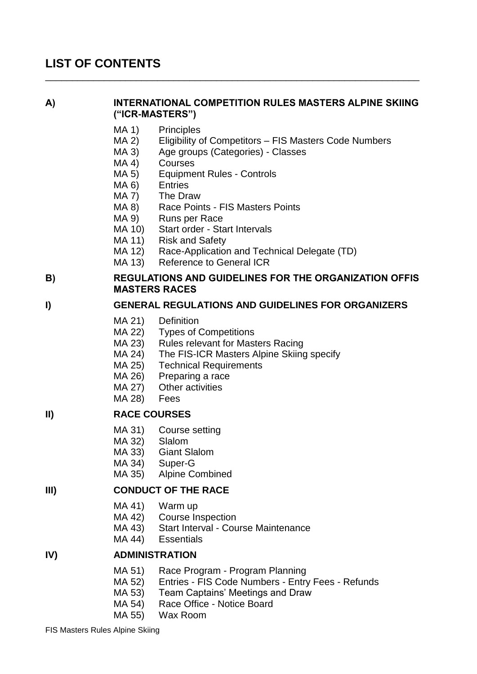# **LIST OF CONTENTS**

#### **A) INTERNATIONAL COMPETITION RULES MASTERS ALPINE SKIING ("ICR-MASTERS")**

\_\_\_\_\_\_\_\_\_\_\_\_\_\_\_\_\_\_\_\_\_\_\_\_\_\_\_\_\_\_\_\_\_\_\_\_\_\_\_\_\_\_\_\_\_\_\_\_\_\_\_\_\_\_\_\_\_\_\_\_\_\_\_\_\_\_\_\_\_\_

- MA 1) Principles
- MA 2) Eligibility of Competitors FIS Masters Code Numbers
- MA 3) Age groups (Categories) Classes
- MA 4) Courses
- MA 5) Equipment Rules Controls
- MA 6) Entries
- MA 7) The Draw
- MA 8) Race Points FIS Masters Points
- MA 9) Runs per Race
- MA 10) Start order Start Intervals
- MA 11) Risk and Safety
- MA 12) Race-Application and Technical Delegate (TD)
- MA 13) Reference to General ICR

## **B) REGULATIONS AND GUIDELINES FOR THE ORGANIZATION OFFIS MASTERS RACES**

#### **I) GENERAL REGULATIONS AND GUIDELINES FOR ORGANIZERS**

- MA 21) Definition
- MA 22) Types of Competitions
- MA 23) Rules relevant for Masters Racing
- MA 24) The FIS-ICR Masters Alpine Skiing specify
- MA 25) Technical Requirements
- MA 26) Preparing a race
- MA 27) Other activities
- MA 28) Fees

#### **II) RACE COURSES**

- MA 31) Course setting
- MA 32) Slalom
- MA 33) Giant Slalom
- MA 34) Super-G
- MA 35) Alpine Combined

#### **III) CONDUCT OF THE RACE**

- MA 41) Warm up
- MA 42) Course Inspection
- MA 43) Start Interval Course Maintenance
- MA 44) Essentials

#### **IV) ADMINISTRATION**

- MA 51) Race Program Program Planning
- MA 52) Entries FIS Code Numbers Entry Fees Refunds
- MA 53) Team Captains' Meetings and Draw
- MA 54) Race Office Notice Board
- MA 55) Wax Room

FIS Masters Rules Alpine Skiing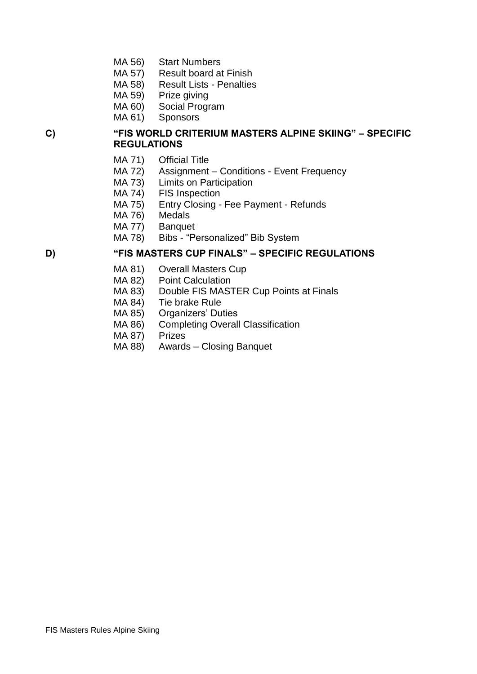- MA 56) Start Numbers
- MA 57) Result board at Finish
- MA 58) Result Lists Penalties
- MA 59) Prize giving
- MA 60) Social Program
- MA 61) Sponsors

#### **C) "FIS WORLD CRITERIUM MASTERS ALPINE SKIING" – SPECIFIC REGULATIONS**

- MA 71) Official Title
- MA 72) Assignment Conditions Event Frequency
- MA 73) Limits on Participation
- MA 74) FIS Inspection
- MA 75) Entry Closing Fee Payment Refunds
- MA 76) Medals
- MA 77) Banquet
- MA 78) Bibs "Personalized" Bib System

#### **D) "FIS MASTERS CUP FINALS" – SPECIFIC REGULATIONS**

- MA 81) Overall Masters Cup
- MA 82) Point Calculation
- MA 83) Double FIS MASTER Cup Points at Finals
- MA 84) Tie brake Rule
- MA 85) Organizers' Duties
- MA 86) Completing Overall Classification
- MA 87) Prizes
- MA 88) Awards Closing Banquet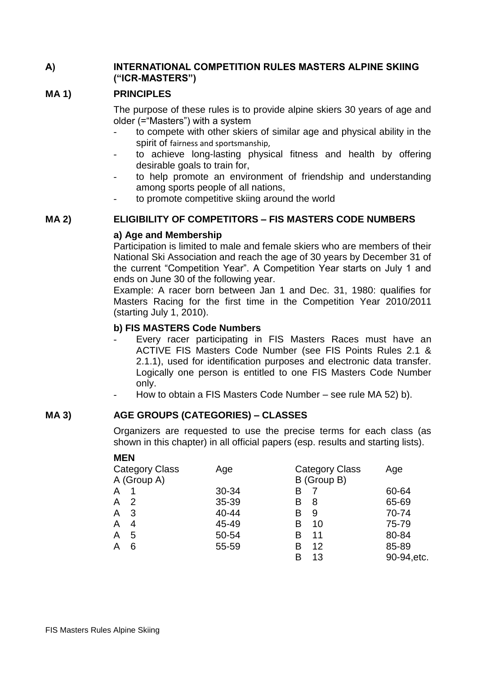## **A) INTERNATIONAL COMPETITION RULES MASTERS ALPINE SKIING ("ICR-MASTERS")**

## **MA 1) PRINCIPLES**

The purpose of these rules is to provide alpine skiers 30 years of age and older (="Masters") with a system

- to compete with other skiers of similar age and physical ability in the spirit of fairness and sportsmanship,
- to achieve long-lasting physical fitness and health by offering desirable goals to train for,
- to help promote an environment of friendship and understanding among sports people of all nations,
	- to promote competitive skiing around the world

#### **MA 2) ELIGIBILITY OF COMPETITORS – FIS MASTERS CODE NUMBERS**

#### **a) Age and Membership**

Participation is limited to male and female skiers who are members of their National Ski Association and reach the age of 30 years by December 31 of the current "Competition Year". A Competition Year starts on July 1 and ends on June 30 of the following year.

Example: A racer born between Jan 1 and Dec. 31, 1980: qualifies for Masters Racing for the first time in the Competition Year 2010/2011 (starting July 1, 2010).

#### **b) FIS MASTERS Code Numbers**

- Every racer participating in FIS Masters Races must have an ACTIVE FIS Masters Code Number (see FIS Points Rules 2.1 & 2.1.1), used for identification purposes and electronic data transfer. Logically one person is entitled to one FIS Masters Code Number only.
- How to obtain a FIS Masters Code Number see rule MA 52) b).

#### **MA 3) AGE GROUPS (CATEGORIES) – CLASSES**

Organizers are requested to use the precise terms for each class (as shown in this chapter) in all official papers (esp. results and starting lists).

**MEN**

| <b>Category Class</b> | Age   | <b>Category Class</b> | Age         |
|-----------------------|-------|-----------------------|-------------|
| A (Group A)           |       | B (Group B)           |             |
| A                     | 30-34 | В                     | 60-64       |
| -2<br>A               | 35-39 | В<br>8                | 65-69       |
| -3<br>A               | 40-44 | B<br>9                | 70-74       |
| A<br>4                | 45-49 | В<br>10               | 75-79       |
| 5<br>A                | 50-54 | 11<br>В               | 80-84       |
| 6<br>A                | 55-59 | 12<br>в               | 85-89       |
|                       |       | 13<br>B               | 90-94, etc. |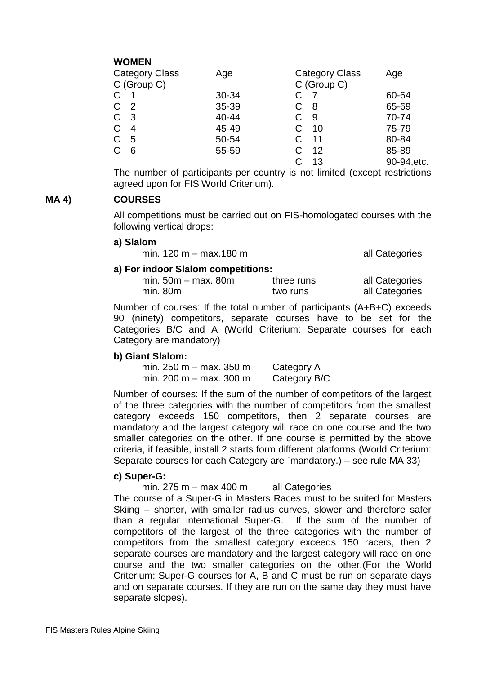# **WOMEN**

| Category Class<br>C (Group C) | Age   | <b>Category Class</b><br>C (Group C) | Age         |
|-------------------------------|-------|--------------------------------------|-------------|
| $\mathsf{C}$                  | 30-34 |                                      | 60-64       |
| C.<br>$\overline{2}$          | 35-39 | 8                                    | 65-69       |
| C <sub>3</sub>                | 40-44 | 9                                    | 70-74       |
| C.<br>4                       | 45-49 | 10                                   | 75-79       |
| C.<br>5                       | 50-54 | 11                                   | 80-84       |
| C<br>6                        | 55-59 | 12                                   | 85-89       |
|                               |       | 13                                   | 90-94, etc. |

The number of participants per country is not limited (except restrictions agreed upon for FIS World Criterium).

#### **MA 4) COURSES**

All competitions must be carried out on FIS-homologated courses with the following vertical drops:

#### **a) Slalom**

min.  $120 \text{ m} - \text{max}.180 \text{ m}$  all Categories

#### **a) For indoor Slalom competitions:**

| min. $50m - max.$ 80m | three runs | all Categories |
|-----------------------|------------|----------------|
| min. 80m              | two runs   | all Categories |

Number of courses: If the total number of participants (A+B+C) exceeds 90 (ninety) competitors, separate courses have to be set for the Categories B/C and A (World Criterium: Separate courses for each Category are mandatory)

#### **b) Giant Slalom:**

min.  $250$  m – max. 350 m Category A min. 200 m – max. 300 m Category B/C

Number of courses: If the sum of the number of competitors of the largest of the three categories with the number of competitors from the smallest category exceeds 150 competitors, then 2 separate courses are mandatory and the largest category will race on one course and the two smaller categories on the other. If one course is permitted by the above criteria, if feasible, install 2 starts form different platforms (World Criterium: Separate courses for each Category are `mandatory.) – see rule MA 33)

#### **c) Super-G:**

min.  $275$  m – max 400 m all Categories

The course of a Super-G in Masters Races must to be suited for Masters Skiing – shorter, with smaller radius curves, slower and therefore safer than a regular international Super-G. If the sum of the number of competitors of the largest of the three categories with the number of competitors from the smallest category exceeds 150 racers, then 2 separate courses are mandatory and the largest category will race on one course and the two smaller categories on the other.(For the World Criterium: Super-G courses for A, B and C must be run on separate days and on separate courses. If they are run on the same day they must have separate slopes).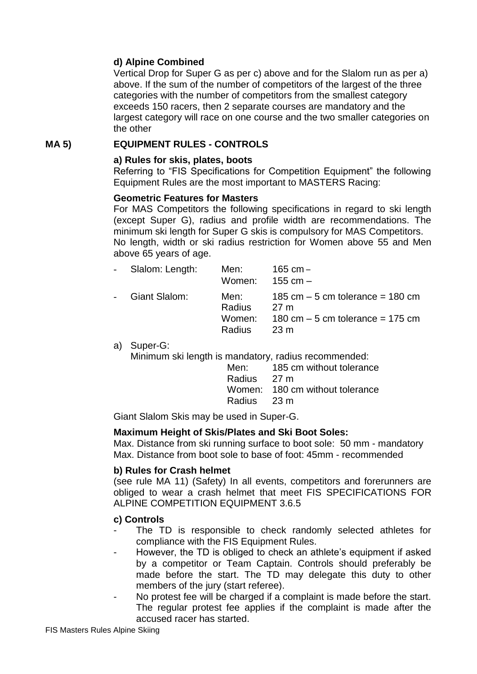## **d) Alpine Combined**

Vertical Drop for Super G as per c) above and for the Slalom run as per a) above. If the sum of the number of competitors of the largest of the three categories with the number of competitors from the smallest category exceeds 150 racers, then 2 separate courses are mandatory and the largest category will race on one course and the two smaller categories on the other

#### **MA 5) EQUIPMENT RULES - CONTROLS**

#### **a) Rules for skis, plates, boots**

Referring to "FIS Specifications for Competition Equipment" the following Equipment Rules are the most important to MASTERS Racing:

#### **Geometric Features for Masters**

For MAS Competitors the following specifications in regard to ski length (except Super G), radius and profile width are recommendations. The minimum ski length for Super G skis is compulsory for MAS Competitors. No length, width or ski radius restriction for Women above 55 and Men above 65 years of age.

| - Slalom: Length: | Men:<br>Women: $155 \text{ cm} -$    | 165 cm –                                                                                                                   |
|-------------------|--------------------------------------|----------------------------------------------------------------------------------------------------------------------------|
| - Giant Slalom:   | Men: <b>Men</b><br>Radius<br>Radius. | 185 cm $-5$ cm tolerance $=$ 180 cm<br>27 m<br>Women: $180 \text{ cm} - 5 \text{ cm}$ tolerance = 175 cm<br>$23 \text{ m}$ |

a) Super-G:

Minimum ski length is mandatory, radius recommended:

| Men:        | 185 cm without tolerance        |
|-------------|---------------------------------|
| Radius 27 m |                                 |
|             | Women: 180 cm without tolerance |
| Radius 23 m |                                 |

Giant Slalom Skis may be used in Super-G.

#### **Maximum Height of Skis/Plates and Ski Boot Soles:**

Max. Distance from ski running surface to boot sole: 50 mm - mandatory Max. Distance from boot sole to base of foot: 45mm - recommended

## **b) Rules for Crash helmet**

(see rule MA 11) (Safety) In all events, competitors and forerunners are obliged to wear a crash helmet that meet FIS SPECIFICATIONS FOR ALPINE COMPETITION EQUIPMENT 3.6.5

#### **c) Controls**

- The TD is responsible to check randomly selected athletes for compliance with the FIS Equipment Rules.
- However, the TD is obliged to check an athlete's equipment if asked by a competitor or Team Captain. Controls should preferably be made before the start. The TD may delegate this duty to other members of the jury (start referee).
- No protest fee will be charged if a complaint is made before the start. The regular protest fee applies if the complaint is made after the accused racer has started.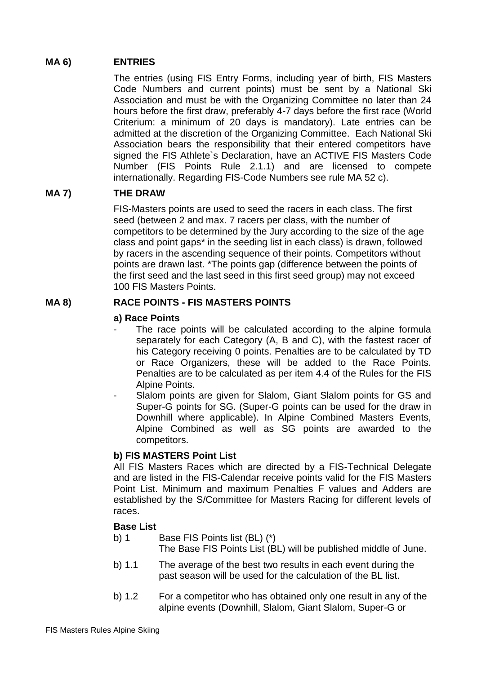#### **MA 6) ENTRIES**

The entries (using FIS Entry Forms, including year of birth, FIS Masters Code Numbers and current points) must be sent by a National Ski Association and must be with the Organizing Committee no later than 24 hours before the first draw, preferably 4-7 days before the first race (World Criterium: a minimum of 20 days is mandatory). Late entries can be admitted at the discretion of the Organizing Committee. Each National Ski Association bears the responsibility that their entered competitors have signed the FIS Athlete`s Declaration, have an ACTIVE FIS Masters Code Number (FIS Points Rule 2.1.1) and are licensed to compete internationally. Regarding FIS-Code Numbers see rule MA 52 c).

## **MA 7) THE DRAW**

FIS-Masters points are used to seed the racers in each class. The first seed (between 2 and max. 7 racers per class, with the number of competitors to be determined by the Jury according to the size of the age class and point gaps\* in the seeding list in each class) is drawn, followed by racers in the ascending sequence of their points. Competitors without points are drawn last. \*The points gap (difference between the points of the first seed and the last seed in this first seed group) may not exceed 100 FIS Masters Points.

#### **MA 8) RACE POINTS - FIS MASTERS POINTS**

#### **a) Race Points**

- The race points will be calculated according to the alpine formula separately for each Category (A, B and C), with the fastest racer of his Category receiving 0 points. Penalties are to be calculated by TD or Race Organizers, these will be added to the Race Points. Penalties are to be calculated as per item 4.4 of the Rules for the FIS Alpine Points.
- Slalom points are given for Slalom, Giant Slalom points for GS and Super-G points for SG. (Super-G points can be used for the draw in Downhill where applicable). In Alpine Combined Masters Events, Alpine Combined as well as SG points are awarded to the competitors.

#### **b) FIS MASTERS Point List**

All FIS Masters Races which are directed by a FIS-Technical Delegate and are listed in the FIS-Calendar receive points valid for the FIS Masters Point List. Minimum and maximum Penalties F values and Adders are established by the S/Committee for Masters Racing for different levels of races.

#### **Base List**

- b) 1 Base FIS Points list (BL) (\*) The Base FIS Points List (BL) will be published middle of June.
- b) 1.1 The average of the best two results in each event during the past season will be used for the calculation of the BL list.
- b) 1.2 For a competitor who has obtained only one result in any of the alpine events (Downhill, Slalom, Giant Slalom, Super-G or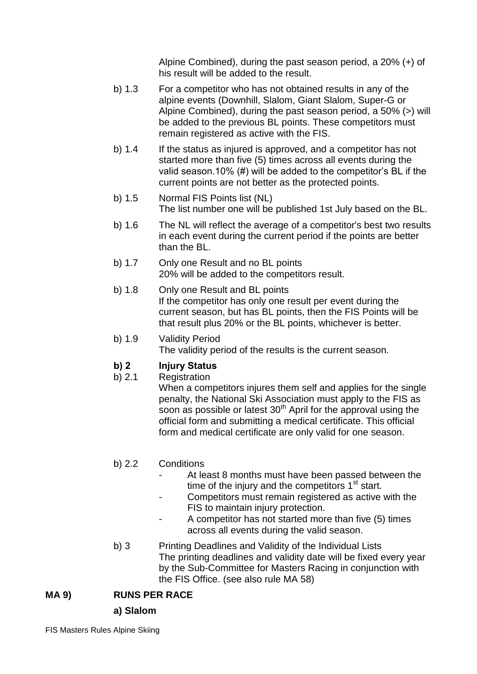Alpine Combined), during the past season period, a 20% (+) of his result will be added to the result.

- b) 1.3 For a competitor who has not obtained results in any of the alpine events (Downhill, Slalom, Giant Slalom, Super-G or Alpine Combined), during the past season period, a 50% (>) will be added to the previous BL points. These competitors must remain registered as active with the FIS.
- b) 1.4 If the status as injured is approved, and a competitor has not started more than five (5) times across all events during the valid season.10% (#) will be added to the competitor's BL if the current points are not better as the protected points.
- b) 1.5 Normal FIS Points list (NL) The list number one will be published 1st July based on the BL.
- b) 1.6 The NL will reflect the average of a competitor's best two results in each event during the current period if the points are better than the BL.
- b) 1.7 Only one Result and no BL points 20% will be added to the competitors result.
- b) 1.8 Only one Result and BL points If the competitor has only one result per event during the current season, but has BL points, then the FIS Points will be that result plus 20% or the BL points, whichever is better.
- b) 1.9 Validity Period The validity period of the results is the current season.

# **b) 2 Injury Status**

b) 2.1 Registration

When a competitors injures them self and applies for the single penalty, the National Ski Association must apply to the FIS as soon as possible or latest  $30<sup>th</sup>$  April for the approval using the official form and submitting a medical certificate. This official form and medical certificate are only valid for one season.

# b) 2.2 Conditions

- At least 8 months must have been passed between the time of the injury and the competitors  $1<sup>st</sup>$  start.
- Competitors must remain registered as active with the FIS to maintain injury protection.
- A competitor has not started more than five (5) times across all events during the valid season.
- b) 3 Printing Deadlines and Validity of the Individual Lists The printing deadlines and validity date will be fixed every year by the Sub-Committee for Masters Racing in conjunction with the FIS Office. (see also rule MA 58)

# **MA 9) RUNS PER RACE**

## **a) Slalom**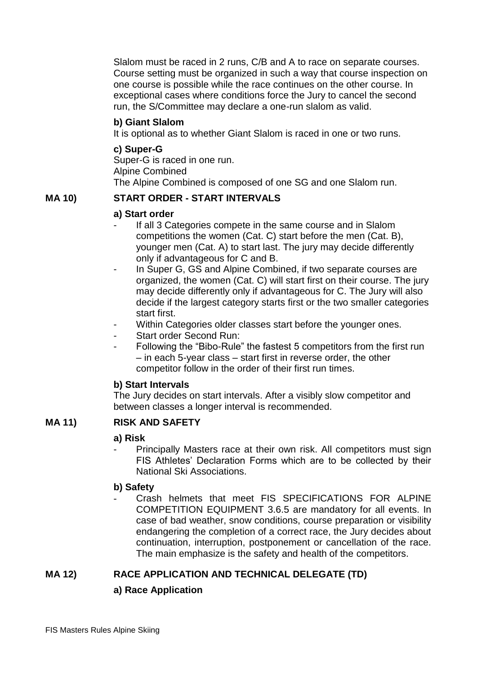Slalom must be raced in 2 runs, C/B and A to race on separate courses. Course setting must be organized in such a way that course inspection on one course is possible while the race continues on the other course. In exceptional cases where conditions force the Jury to cancel the second run, the S/Committee may declare a one-run slalom as valid.

#### **b) Giant Slalom**

It is optional as to whether Giant Slalom is raced in one or two runs.

#### **c) Super-G**

Super-G is raced in one run. Alpine Combined The Alpine Combined is composed of one SG and one Slalom run.

## **MA 10) START ORDER - START INTERVALS**

#### **a) Start order**

- If all 3 Categories compete in the same course and in Slalom competitions the women (Cat. C) start before the men (Cat. B), younger men (Cat. A) to start last. The jury may decide differently only if advantageous for C and B.
- In Super G, GS and Alpine Combined, if two separate courses are organized, the women (Cat. C) will start first on their course. The jury may decide differently only if advantageous for C. The Jury will also decide if the largest category starts first or the two smaller categories start first.
- Within Categories older classes start before the younger ones.
- Start order Second Run:
- Following the "Bibo-Rule" the fastest 5 competitors from the first run – in each 5-year class – start first in reverse order, the other competitor follow in the order of their first run times.

#### **b) Start Intervals**

The Jury decides on start intervals. After a visibly slow competitor and between classes a longer interval is recommended.

## **MA 11) RISK AND SAFETY**

#### **a) Risk**

Principally Masters race at their own risk. All competitors must sign FIS Athletes' Declaration Forms which are to be collected by their National Ski Associations.

#### **b) Safety**

Crash helmets that meet FIS SPECIFICATIONS FOR ALPINE COMPETITION EQUIPMENT 3.6.5 are mandatory for all events. In case of bad weather, snow conditions, course preparation or visibility endangering the completion of a correct race, the Jury decides about continuation, interruption, postponement or cancellation of the race. The main emphasize is the safety and health of the competitors.

## **MA 12) RACE APPLICATION AND TECHNICAL DELEGATE (TD)**

## **a) Race Application**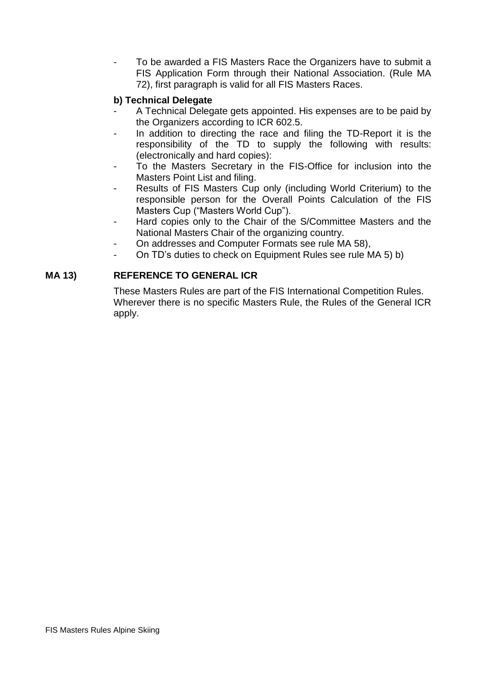To be awarded a FIS Masters Race the Organizers have to submit a FIS Application Form through their National Association. (Rule MA 72), first paragraph is valid for all FIS Masters Races.

## **b) Technical Delegate**

- A Technical Delegate gets appointed. His expenses are to be paid by the Organizers according to ICR 602.5.
- In addition to directing the race and filing the TD-Report it is the responsibility of the TD to supply the following with results: (electronically and hard copies):
- To the Masters Secretary in the FIS-Office for inclusion into the Masters Point List and filing.
- Results of FIS Masters Cup only (including World Criterium) to the responsible person for the Overall Points Calculation of the FIS Masters Cup ("Masters World Cup").
- Hard copies only to the Chair of the S/Committee Masters and the National Masters Chair of the organizing country.
- On addresses and Computer Formats see rule MA 58),
- On TD's duties to check on Equipment Rules see rule MA 5) b)

## **MA 13) REFERENCE TO GENERAL ICR**

These Masters Rules are part of the FIS International Competition Rules. Wherever there is no specific Masters Rule, the Rules of the General ICR apply.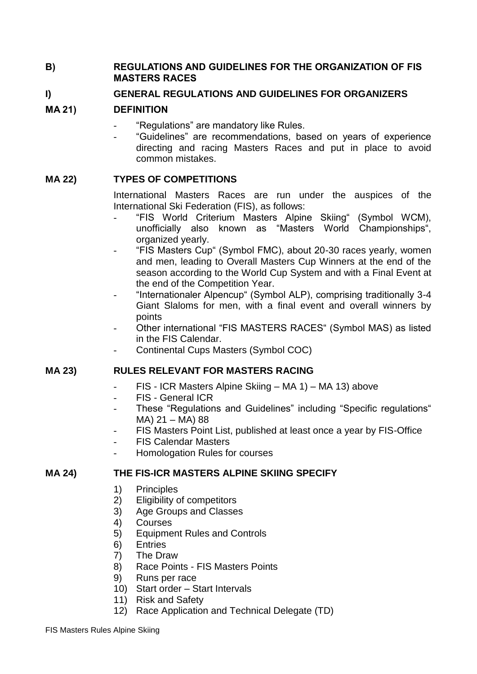#### **B) REGULATIONS AND GUIDELINES FOR THE ORGANIZATION OF FIS MASTERS RACES**

## **I) GENERAL REGULATIONS AND GUIDELINES FOR ORGANIZERS**

## **MA 21) DEFINITION**

- "Regulations" are mandatory like Rules.
- "Guidelines" are recommendations, based on years of experience directing and racing Masters Races and put in place to avoid common mistakes.

## **MA 22) TYPES OF COMPETITIONS**

International Masters Races are run under the auspices of the International Ski Federation (FIS), as follows:

- "FIS World Criterium Masters Alpine Skiing" (Symbol WCM), unofficially also known as "Masters World Championships", organized yearly.
- "FIS Masters Cup" (Symbol FMC), about 20-30 races yearly, women and men, leading to Overall Masters Cup Winners at the end of the season according to the World Cup System and with a Final Event at the end of the Competition Year.
- "Internationaler Alpencup" (Symbol ALP), comprising traditionally 3-4 Giant Slaloms for men, with a final event and overall winners by points
- Other international "FIS MASTERS RACES" (Symbol MAS) as listed in the FIS Calendar.
- Continental Cups Masters (Symbol COC)

## **MA 23) RULES RELEVANT FOR MASTERS RACING**

- FIS ICR Masters Alpine Skiing MA 1) MA 13) above
- FIS General ICR
- These "Regulations and Guidelines" including "Specific regulations" MA) 21 – MA) 88
- FIS Masters Point List, published at least once a year by FIS-Office
- FIS Calendar Masters
- Homologation Rules for courses

#### **MA 24) THE FIS-ICR MASTERS ALPINE SKIING SPECIFY**

- 1) Principles
- 2) Eligibility of competitors
- 3) Age Groups and Classes
- 4) Courses
- 5) Equipment Rules and Controls
- 6) Entries
- 7) The Draw
- 8) Race Points FIS Masters Points
- 9) Runs per race
- 10) Start order Start Intervals
- 11) Risk and Safety
- 12) Race Application and Technical Delegate (TD)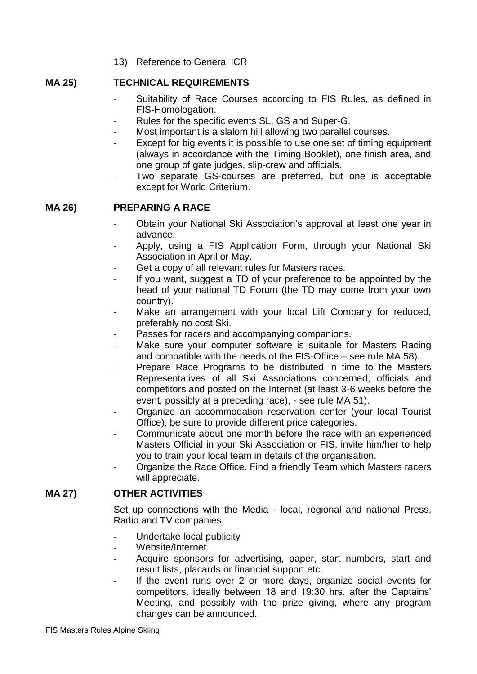13) Reference to General ICR

#### **MA 25) TECHNICAL REQUIREMENTS**

- Suitability of Race Courses according to FIS Rules, as defined in FIS-Homologation.
- Rules for the specific events SL, GS and Super-G.
- Most important is a slalom hill allowing two parallel courses.
- Except for big events it is possible to use one set of timing equipment (always in accordance with the Timing Booklet), one finish area, and one group of gate judges, slip-crew and officials.
- Two separate GS-courses are preferred, but one is acceptable except for World Criterium.

## **MA 26) PREPARING A RACE**

- Obtain your National Ski Association's approval at least one year in advance.
- Apply, using a FIS Application Form, through your National Ski Association in April or May.
- Get a copy of all relevant rules for Masters races.
- If you want, suggest a TD of your preference to be appointed by the head of your national TD Forum (the TD may come from your own country).
- Make an arrangement with your local Lift Company for reduced, preferably no cost Ski.
- Passes for racers and accompanying companions.
- Make sure your computer software is suitable for Masters Racing and compatible with the needs of the FIS-Office – see rule MA 58).
- Prepare Race Programs to be distributed in time to the Masters Representatives of all Ski Associations concerned, officials and competitors and posted on the Internet (at least 3-6 weeks before the event, possibly at a preceding race), - see rule MA 51).
- Organize an accommodation reservation center (your local Tourist Office); be sure to provide different price categories.
- Communicate about one month before the race with an experienced Masters Official in your Ski Association or FIS, invite him/her to help you to train your local team in details of the organisation.
- Organize the Race Office. Find a friendly Team which Masters racers will appreciate.

## **MA 27) OTHER ACTIVITIES**

Set up connections with the Media - local, regional and national Press, Radio and TV companies.

- Undertake local publicity
- Website/Internet
- Acquire sponsors for advertising, paper, start numbers, start and result lists, placards or financial support etc.
- If the event runs over 2 or more days, organize social events for competitors, ideally between 18 and 19:30 hrs. after the Captains' Meeting, and possibly with the prize giving, where any program changes can be announced.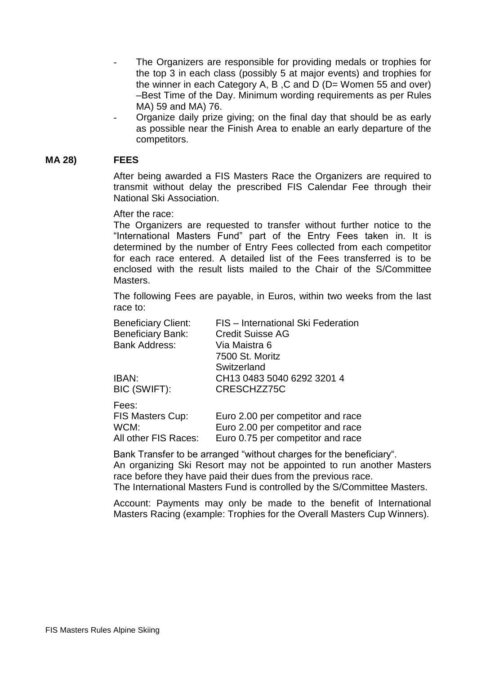- The Organizers are responsible for providing medals or trophies for the top 3 in each class (possibly 5 at major events) and trophies for the winner in each Category A, B ,C and D (D= Women 55 and over) –Best Time of the Day. Minimum wording requirements as per Rules MA) 59 and MA) 76.
- Organize daily prize giving; on the final day that should be as early as possible near the Finish Area to enable an early departure of the competitors.

#### **MA 28) FEES**

After being awarded a FIS Masters Race the Organizers are required to transmit without delay the prescribed FIS Calendar Fee through their National Ski Association.

After the race:

The Organizers are requested to transfer without further notice to the "International Masters Fund" part of the Entry Fees taken in. It is determined by the number of Entry Fees collected from each competitor for each race entered. A detailed list of the Fees transferred is to be enclosed with the result lists mailed to the Chair of the S/Committee Masters.

The following Fees are payable, in Euros, within two weeks from the last race to:

| <b>Beneficiary Client:</b> | FIS - International Ski Federation |
|----------------------------|------------------------------------|
| <b>Beneficiary Bank:</b>   | <b>Credit Suisse AG</b>            |
| <b>Bank Address:</b>       | Via Maistra 6                      |
|                            | 7500 St. Moritz                    |
|                            | Switzerland                        |
| IBAN:                      | CH13 0483 5040 6292 3201 4         |
| BIC (SWIFT):               | CRESCHZZ75C                        |
| Fees:                      |                                    |
| FIS Masters Cup:           | Euro 2.00 per competitor and race  |
| WCM:                       | Euro 2.00 per competitor and race  |
| All other FIS Races:       | Euro 0.75 per competitor and race  |

Bank Transfer to be arranged "without charges for the beneficiary".

An organizing Ski Resort may not be appointed to run another Masters race before they have paid their dues from the previous race.

The International Masters Fund is controlled by the S/Committee Masters.

Account: Payments may only be made to the benefit of International Masters Racing (example: Trophies for the Overall Masters Cup Winners).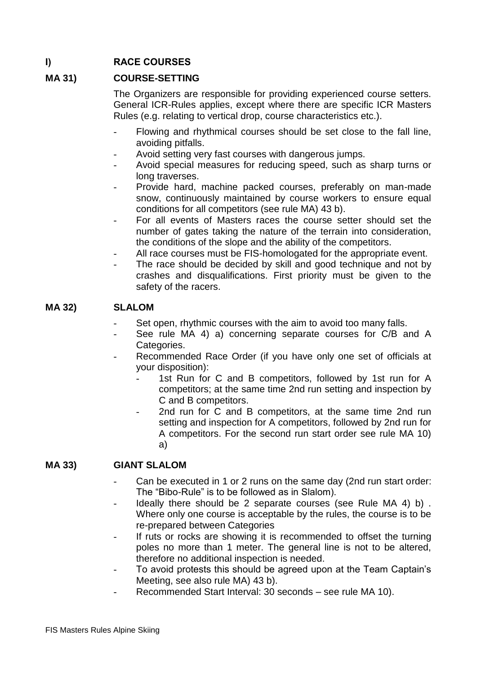# **I) RACE COURSES**

## **MA 31) COURSE-SETTING**

The Organizers are responsible for providing experienced course setters. General ICR-Rules applies, except where there are specific ICR Masters Rules (e.g. relating to vertical drop, course characteristics etc.).

- Flowing and rhythmical courses should be set close to the fall line, avoiding pitfalls.
- Avoid setting very fast courses with dangerous jumps.
- Avoid special measures for reducing speed, such as sharp turns or long traverses.
- Provide hard, machine packed courses, preferably on man-made snow, continuously maintained by course workers to ensure equal conditions for all competitors (see rule MA) 43 b).
- For all events of Masters races the course setter should set the number of gates taking the nature of the terrain into consideration, the conditions of the slope and the ability of the competitors.
- All race courses must be FIS-homologated for the appropriate event.
- The race should be decided by skill and good technique and not by crashes and disqualifications. First priority must be given to the safety of the racers.

#### **MA 32) SLALOM**

- Set open, rhythmic courses with the aim to avoid too many falls.
- See rule MA 4) a) concerning separate courses for C/B and A Categories.
- Recommended Race Order (if you have only one set of officials at your disposition):
	- 1st Run for C and B competitors, followed by 1st run for A competitors; at the same time 2nd run setting and inspection by C and B competitors.
	- 2nd run for C and B competitors, at the same time 2nd run setting and inspection for A competitors, followed by 2nd run for A competitors. For the second run start order see rule MA 10) a)

#### **MA 33) GIANT SLALOM**

- Can be executed in 1 or 2 runs on the same day (2nd run start order: The "Bibo-Rule" is to be followed as in Slalom).
- Ideally there should be 2 separate courses (see Rule MA 4) b). Where only one course is acceptable by the rules, the course is to be re-prepared between Categories
- If ruts or rocks are showing it is recommended to offset the turning poles no more than 1 meter. The general line is not to be altered, therefore no additional inspection is needed.
- To avoid protests this should be agreed upon at the Team Captain's Meeting, see also rule MA) 43 b).
- Recommended Start Interval: 30 seconds see rule MA 10).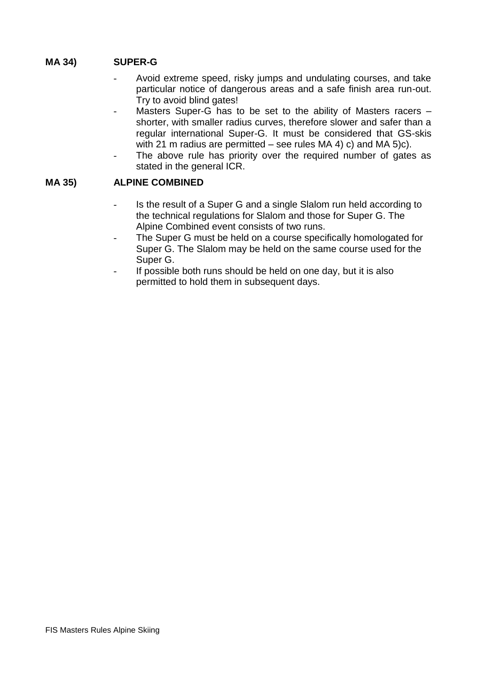## **MA 34) SUPER-G**

- Avoid extreme speed, risky jumps and undulating courses, and take particular notice of dangerous areas and a safe finish area run-out. Try to avoid blind gates!
- Masters Super-G has to be set to the ability of Masters racers  $$ shorter, with smaller radius curves, therefore slower and safer than a regular international Super-G. It must be considered that GS-skis with 21 m radius are permitted – see rules MA 4) c) and MA 5)c).
- The above rule has priority over the required number of gates as stated in the general ICR.

## **MA 35) ALPINE COMBINED**

- Is the result of a Super G and a single Slalom run held according to the technical regulations for Slalom and those for Super G. The Alpine Combined event consists of two runs.
- The Super G must be held on a course specifically homologated for Super G. The Slalom may be held on the same course used for the Super G.
- If possible both runs should be held on one day, but it is also permitted to hold them in subsequent days.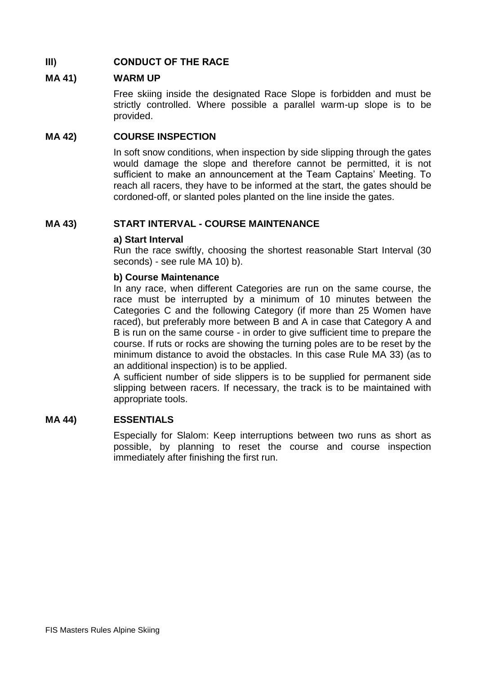## **III) CONDUCT OF THE RACE**

#### **MA 41) WARM UP**

Free skiing inside the designated Race Slope is forbidden and must be strictly controlled. Where possible a parallel warm-up slope is to be provided.

#### **MA 42) COURSE INSPECTION**

In soft snow conditions, when inspection by side slipping through the gates would damage the slope and therefore cannot be permitted, it is not sufficient to make an announcement at the Team Captains' Meeting. To reach all racers, they have to be informed at the start, the gates should be cordoned-off, or slanted poles planted on the line inside the gates.

## **MA 43) START INTERVAL - COURSE MAINTENANCE**

#### **a) Start Interval**

Run the race swiftly, choosing the shortest reasonable Start Interval (30 seconds) - see rule MA 10) b).

#### **b) Course Maintenance**

In any race, when different Categories are run on the same course, the race must be interrupted by a minimum of 10 minutes between the Categories C and the following Category (if more than 25 Women have raced), but preferably more between B and A in case that Category A and B is run on the same course - in order to give sufficient time to prepare the course. If ruts or rocks are showing the turning poles are to be reset by the minimum distance to avoid the obstacles. In this case Rule MA 33) (as to an additional inspection) is to be applied.

A sufficient number of side slippers is to be supplied for permanent side slipping between racers. If necessary, the track is to be maintained with appropriate tools.

#### **MA 44) ESSENTIALS**

Especially for Slalom: Keep interruptions between two runs as short as possible, by planning to reset the course and course inspection immediately after finishing the first run.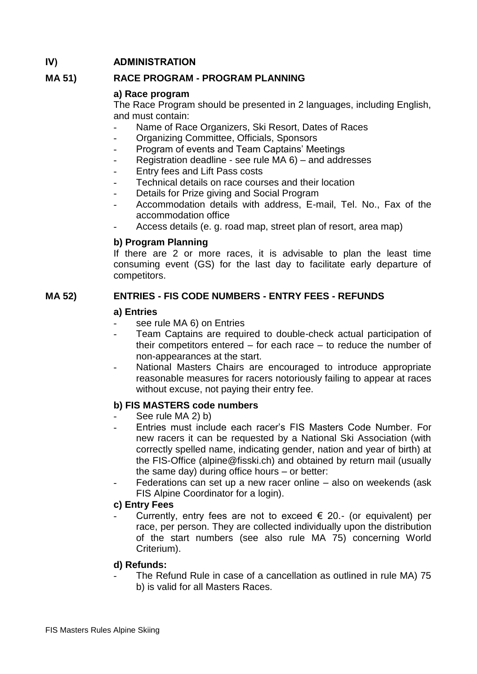## **IV) ADMINISTRATION**

## **MA 51) RACE PROGRAM - PROGRAM PLANNING**

#### **a) Race program**

The Race Program should be presented in 2 languages, including English, and must contain:

- Name of Race Organizers, Ski Resort, Dates of Races
- Organizing Committee, Officials, Sponsors
- Program of events and Team Captains' Meetings
- Registration deadline see rule  $MA 6$ ) and addresses
- Entry fees and Lift Pass costs
- Technical details on race courses and their location
- Details for Prize giving and Social Program
- Accommodation details with address, E-mail, Tel. No., Fax of the accommodation office
- Access details (e. g. road map, street plan of resort, area map)

## **b) Program Planning**

If there are 2 or more races, it is advisable to plan the least time consuming event (GS) for the last day to facilitate early departure of competitors.

## **MA 52) ENTRIES - FIS CODE NUMBERS - ENTRY FEES - REFUNDS**

#### **a) Entries**

- see rule MA 6) on Entries
- Team Captains are required to double-check actual participation of their competitors entered – for each race – to reduce the number of non-appearances at the start.
- National Masters Chairs are encouraged to introduce appropriate reasonable measures for racers notoriously failing to appear at races without excuse, not paying their entry fee.

## **b) FIS MASTERS code numbers**

- See rule MA 2) b)
- Entries must include each racer's FIS Masters Code Number. For new racers it can be requested by a National Ski Association (with correctly spelled name, indicating gender, nation and year of birth) at the FIS-Office (alpine@fisski.ch) and obtained by return mail (usually the same day) during office hours – or better:
- Federations can set up a new racer online  $-$  also on weekends (ask FIS Alpine Coordinator for a login).

#### **c) Entry Fees**

Currently, entry fees are not to exceed  $\epsilon$  20.- (or equivalent) per race, per person. They are collected individually upon the distribution of the start numbers (see also rule MA 75) concerning World Criterium).

#### **d) Refunds:**

The Refund Rule in case of a cancellation as outlined in rule MA) 75 b) is valid for all Masters Races.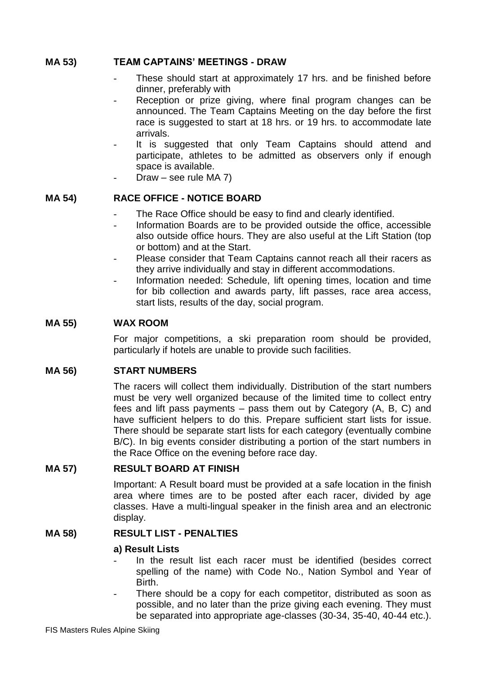#### **MA 53) TEAM CAPTAINS' MEETINGS - DRAW**

- These should start at approximately 17 hrs. and be finished before dinner, preferably with
- Reception or prize giving, where final program changes can be announced. The Team Captains Meeting on the day before the first race is suggested to start at 18 hrs. or 19 hrs. to accommodate late arrivals.
- It is suggested that only Team Captains should attend and participate, athletes to be admitted as observers only if enough space is available.
	- Draw see rule MA  $7$ )

#### **MA 54) RACE OFFICE - NOTICE BOARD**

- The Race Office should be easy to find and clearly identified.
- Information Boards are to be provided outside the office, accessible also outside office hours. They are also useful at the Lift Station (top or bottom) and at the Start.
- Please consider that Team Captains cannot reach all their racers as they arrive individually and stay in different accommodations.
- Information needed: Schedule, lift opening times, location and time for bib collection and awards party, lift passes, race area access, start lists, results of the day, social program.

#### **MA 55) WAX ROOM**

For major competitions, a ski preparation room should be provided, particularly if hotels are unable to provide such facilities.

#### **MA 56) START NUMBERS**

The racers will collect them individually. Distribution of the start numbers must be very well organized because of the limited time to collect entry fees and lift pass payments – pass them out by Category (A, B, C) and have sufficient helpers to do this. Prepare sufficient start lists for issue. There should be separate start lists for each category (eventually combine B/C). In big events consider distributing a portion of the start numbers in the Race Office on the evening before race day.

#### **MA 57) RESULT BOARD AT FINISH**

Important: A Result board must be provided at a safe location in the finish area where times are to be posted after each racer, divided by age classes. Have a multi-lingual speaker in the finish area and an electronic display.

#### **MA 58) RESULT LIST - PENALTIES**

#### **a) Result Lists**

- In the result list each racer must be identified (besides correct spelling of the name) with Code No., Nation Symbol and Year of Birth.
- There should be a copy for each competitor, distributed as soon as possible, and no later than the prize giving each evening. They must be separated into appropriate age-classes (30-34, 35-40, 40-44 etc.).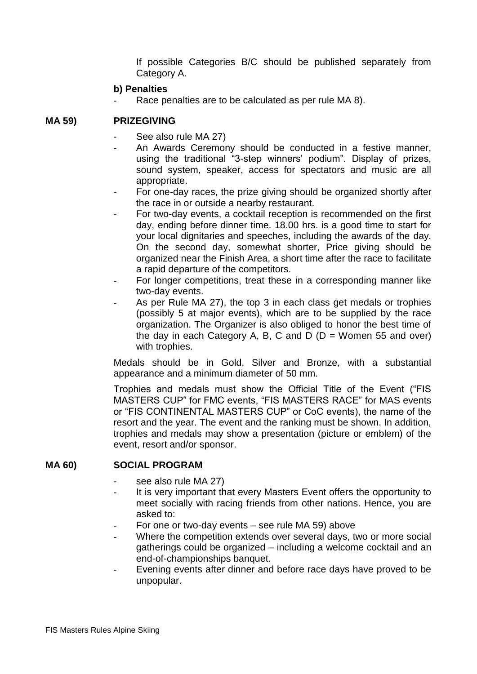If possible Categories B/C should be published separately from Category A.

#### **b) Penalties**

Race penalties are to be calculated as per rule MA 8).

#### **MA 59) PRIZEGIVING**

- See also rule MA 27)
- An Awards Ceremony should be conducted in a festive manner, using the traditional "3-step winners' podium". Display of prizes, sound system, speaker, access for spectators and music are all appropriate.
- For one-day races, the prize giving should be organized shortly after the race in or outside a nearby restaurant.
- For two-day events, a cocktail reception is recommended on the first day, ending before dinner time. 18.00 hrs. is a good time to start for your local dignitaries and speeches, including the awards of the day. On the second day, somewhat shorter, Price giving should be organized near the Finish Area, a short time after the race to facilitate a rapid departure of the competitors.
- For longer competitions, treat these in a corresponding manner like two-day events.
- As per Rule MA 27), the top 3 in each class get medals or trophies (possibly 5 at major events), which are to be supplied by the race organization. The Organizer is also obliged to honor the best time of the day in each Category A, B, C and D ( $D =$  Women 55 and over) with trophies.

Medals should be in Gold, Silver and Bronze, with a substantial appearance and a minimum diameter of 50 mm.

Trophies and medals must show the Official Title of the Event ("FIS MASTERS CUP" for FMC events, "FIS MASTERS RACE" for MAS events or "FIS CONTINENTAL MASTERS CUP" or CoC events), the name of the resort and the year. The event and the ranking must be shown. In addition, trophies and medals may show a presentation (picture or emblem) of the event, resort and/or sponsor.

#### **MA 60) SOCIAL PROGRAM**

- see also rule MA 27)
- It is very important that every Masters Event offers the opportunity to meet socially with racing friends from other nations. Hence, you are asked to:
- For one or two-day events  $-$  see rule MA 59) above
- Where the competition extends over several days, two or more social gatherings could be organized – including a welcome cocktail and an end-of-championships banquet.
- Evening events after dinner and before race days have proved to be unpopular.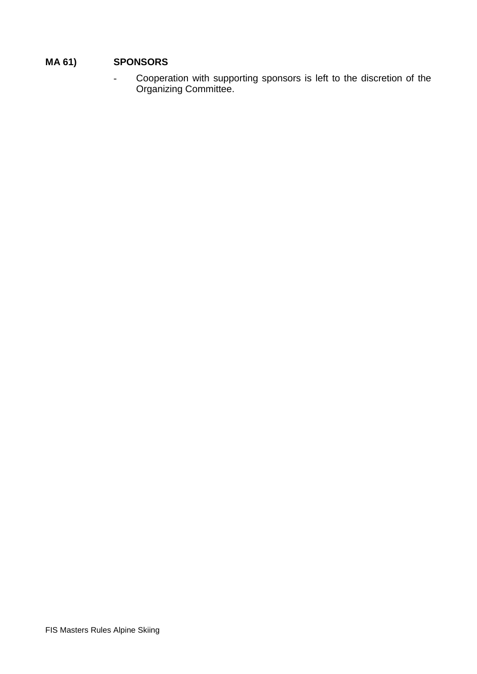# **MA 61) SPONSORS**

- Cooperation with supporting sponsors is left to the discretion of the Organizing Committee.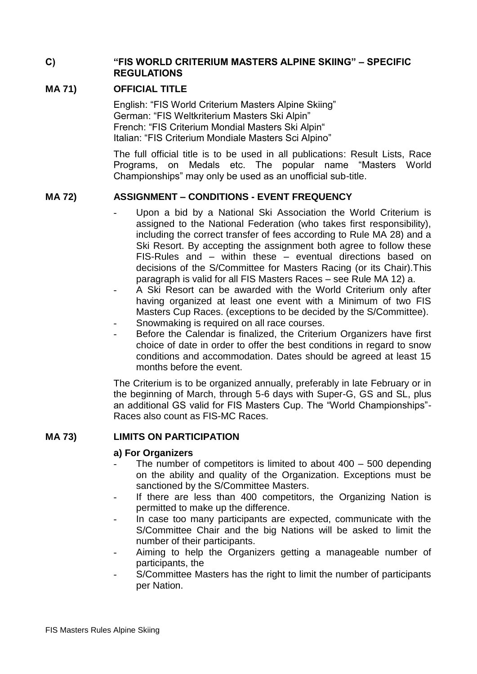#### **C) "FIS WORLD CRITERIUM MASTERS ALPINE SKIING" – SPECIFIC REGULATIONS**

## **MA 71) OFFICIAL TITLE**

English: "FIS World Criterium Masters Alpine Skiing" German: "FIS Weltkriterium Masters Ski Alpin" French: "FIS Criterium Mondial Masters Ski Alpin" Italian: "FIS Criterium Mondiale Masters Sci Alpino"

The full official title is to be used in all publications: Result Lists, Race Programs, on Medals etc. The popular name "Masters World Championships" may only be used as an unofficial sub-title.

## **MA 72) ASSIGNMENT – CONDITIONS - EVENT FREQUENCY**

months before the event.

- Upon a bid by a National Ski Association the World Criterium is assigned to the National Federation (who takes first responsibility), including the correct transfer of fees according to Rule MA 28) and a Ski Resort. By accepting the assignment both agree to follow these FIS-Rules and – within these – eventual directions based on decisions of the S/Committee for Masters Racing (or its Chair).This paragraph is valid for all FIS Masters Races – see Rule MA 12) a.
- A Ski Resort can be awarded with the World Criterium only after having organized at least one event with a Minimum of two FIS Masters Cup Races. (exceptions to be decided by the S/Committee). Snowmaking is required on all race courses.
- Before the Calendar is finalized, the Criterium Organizers have first choice of date in order to offer the best conditions in regard to snow conditions and accommodation. Dates should be agreed at least 15

The Criterium is to be organized annually, preferably in late February or in the beginning of March, through 5-6 days with Super-G, GS and SL, plus an additional GS valid for FIS Masters Cup. The "World Championships"- Races also count as FIS-MC Races.

## **MA 73) LIMITS ON PARTICIPATION**

#### **a) For Organizers**

- The number of competitors is limited to about  $400 500$  depending on the ability and quality of the Organization. Exceptions must be sanctioned by the S/Committee Masters.
- If there are less than 400 competitors, the Organizing Nation is permitted to make up the difference.
- In case too many participants are expected, communicate with the S/Committee Chair and the big Nations will be asked to limit the number of their participants.
- Aiming to help the Organizers getting a manageable number of participants, the
- S/Committee Masters has the right to limit the number of participants per Nation.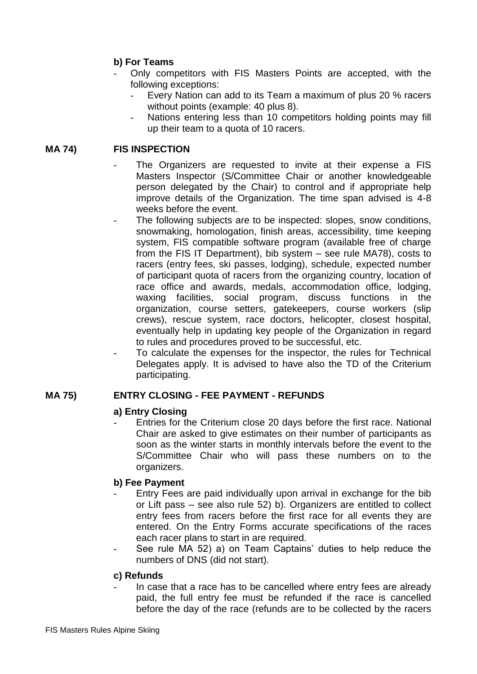## **b) For Teams**

- Only competitors with FIS Masters Points are accepted, with the following exceptions:
	- Every Nation can add to its Team a maximum of plus 20 % racers without points (example: 40 plus 8).
	- Nations entering less than 10 competitors holding points may fill up their team to a quota of 10 racers.

## **MA 74) FIS INSPECTION**

- The Organizers are requested to invite at their expense a FIS Masters Inspector (S/Committee Chair or another knowledgeable person delegated by the Chair) to control and if appropriate help improve details of the Organization. The time span advised is 4-8 weeks before the event.
- The following subjects are to be inspected: slopes, snow conditions, snowmaking, homologation, finish areas, accessibility, time keeping system. FIS compatible software program (available free of charge from the FIS IT Department), bib system – see rule MA78), costs to racers (entry fees, ski passes, lodging), schedule, expected number of participant quota of racers from the organizing country, location of race office and awards, medals, accommodation office, lodging, waxing facilities, social program, discuss functions in the organization, course setters, gatekeepers, course workers (slip crews), rescue system, race doctors, helicopter, closest hospital, eventually help in updating key people of the Organization in regard to rules and procedures proved to be successful, etc.
- To calculate the expenses for the inspector, the rules for Technical Delegates apply. It is advised to have also the TD of the Criterium participating.

## **MA 75) ENTRY CLOSING - FEE PAYMENT - REFUNDS**

#### **a) Entry Closing**

Entries for the Criterium close 20 days before the first race. National Chair are asked to give estimates on their number of participants as soon as the winter starts in monthly intervals before the event to the S/Committee Chair who will pass these numbers on to the organizers.

#### **b) Fee Payment**

- Entry Fees are paid individually upon arrival in exchange for the bib or Lift pass – see also rule 52) b). Organizers are entitled to collect entry fees from racers before the first race for all events they are entered. On the Entry Forms accurate specifications of the races each racer plans to start in are required.
- See rule MA 52) a) on Team Captains' duties to help reduce the numbers of DNS (did not start).

#### **c) Refunds**

In case that a race has to be cancelled where entry fees are already paid, the full entry fee must be refunded if the race is cancelled before the day of the race (refunds are to be collected by the racers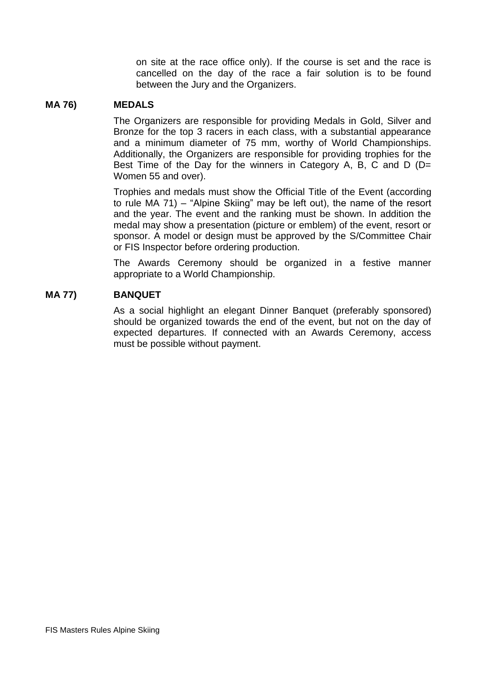on site at the race office only). If the course is set and the race is cancelled on the day of the race a fair solution is to be found between the Jury and the Organizers.

#### **MA 76) MEDALS**

The Organizers are responsible for providing Medals in Gold, Silver and Bronze for the top 3 racers in each class, with a substantial appearance and a minimum diameter of 75 mm, worthy of World Championships. Additionally, the Organizers are responsible for providing trophies for the Best Time of the Day for the winners in Category A, B, C and D (D= Women 55 and over).

Trophies and medals must show the Official Title of the Event (according to rule MA 71) – "Alpine Skiing" may be left out), the name of the resort and the year. The event and the ranking must be shown. In addition the medal may show a presentation (picture or emblem) of the event, resort or sponsor. A model or design must be approved by the S/Committee Chair or FIS Inspector before ordering production.

The Awards Ceremony should be organized in a festive manner appropriate to a World Championship.

#### **MA 77) BANQUET**

As a social highlight an elegant Dinner Banquet (preferably sponsored) should be organized towards the end of the event, but not on the day of expected departures. If connected with an Awards Ceremony, access must be possible without payment.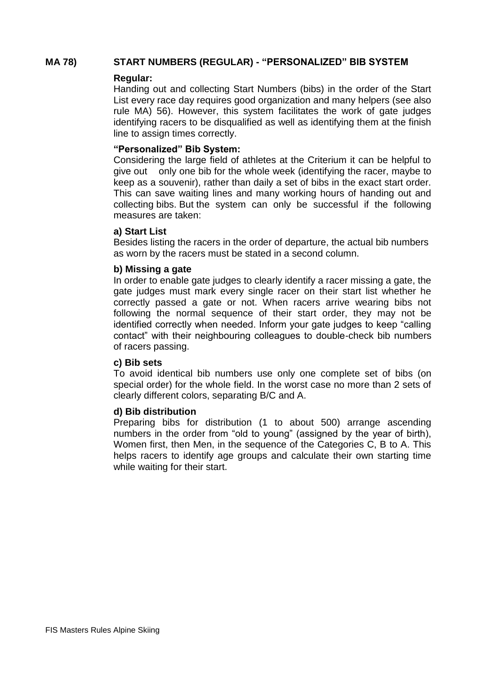#### **MA 78) START NUMBERS (REGULAR) - "PERSONALIZED" BIB SYSTEM**

#### **Regular:**

Handing out and collecting Start Numbers (bibs) in the order of the Start List every race day requires good organization and many helpers (see also rule MA) 56). However, this system facilitates the work of gate judges identifying racers to be disqualified as well as identifying them at the finish line to assign times correctly.

#### **"Personalized" Bib System:**

Considering the large field of athletes at the Criterium it can be helpful to give out only one bib for the whole week (identifying the racer, maybe to keep as a souvenir), rather than daily a set of bibs in the exact start order. This can save waiting lines and many working hours of handing out and collecting bibs. But the system can only be successful if the following measures are taken:

#### **a) Start List**

Besides listing the racers in the order of departure, the actual bib numbers as worn by the racers must be stated in a second column.

#### **b) Missing a gate**

In order to enable gate judges to clearly identify a racer missing a gate, the gate judges must mark every single racer on their start list whether he correctly passed a gate or not. When racers arrive wearing bibs not following the normal sequence of their start order, they may not be identified correctly when needed. Inform your gate judges to keep "calling contact" with their neighbouring colleagues to double-check bib numbers of racers passing.

#### **c) Bib sets**

To avoid identical bib numbers use only one complete set of bibs (on special order) for the whole field. In the worst case no more than 2 sets of clearly different colors, separating B/C and A.

#### **d) Bib distribution**

Preparing bibs for distribution (1 to about 500) arrange ascending numbers in the order from "old to young" (assigned by the year of birth), Women first, then Men, in the sequence of the Categories C, B to A. This helps racers to identify age groups and calculate their own starting time while waiting for their start.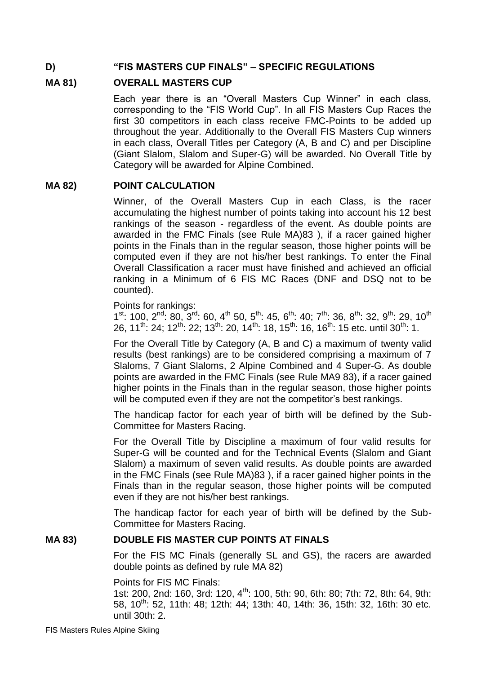#### **D) "FIS MASTERS CUP FINALS" – SPECIFIC REGULATIONS**

#### **MA 81) OVERALL MASTERS CUP**

Each year there is an "Overall Masters Cup Winner" in each class, corresponding to the "FIS World Cup". In all FIS Masters Cup Races the first 30 competitors in each class receive FMC-Points to be added up throughout the year. Additionally to the Overall FIS Masters Cup winners in each class, Overall Titles per Category (A, B and C) and per Discipline (Giant Slalom, Slalom and Super-G) will be awarded. No Overall Title by Category will be awarded for Alpine Combined.

#### **MA 82) POINT CALCULATION**

Winner, of the Overall Masters Cup in each Class, is the racer accumulating the highest number of points taking into account his 12 best rankings of the season - regardless of the event. As double points are awarded in the FMC Finals (see Rule MA)83 ), if a racer gained higher points in the Finals than in the regular season, those higher points will be computed even if they are not his/her best rankings. To enter the Final Overall Classification a racer must have finished and achieved an official ranking in a Minimum of 6 FIS MC Races (DNF and DSQ not to be counted).

Points for rankings:

 $1^{st}$ : 100,  $2^{nd}$ : 80,  $3^{rd}$ : 60,  $4^{th}$  50,  $5^{th}$ : 45,  $6^{th}$ : 40;  $7^{th}$ : 36,  $8^{th}$ : 32,  $9^{th}$ : 29,  $10^{th}$ 26,  $11^{th}$ :  $24$ ;  $12^{th}$ :  $22$ ;  $13^{th}$ :  $20$ ,  $14^{th}$ :  $18$ ,  $15^{th}$ :  $16$ ,  $16^{th}$ :  $15$  etc. until  $30^{th}$ :  $1$ .

For the Overall Title by Category (A, B and C) a maximum of twenty valid results (best rankings) are to be considered comprising a maximum of 7 Slaloms, 7 Giant Slaloms, 2 Alpine Combined and 4 Super-G. As double points are awarded in the FMC Finals (see Rule MA9 83), if a racer gained higher points in the Finals than in the regular season, those higher points will be computed even if they are not the competitor's best rankings.

The handicap factor for each year of birth will be defined by the Sub-Committee for Masters Racing.

For the Overall Title by Discipline a maximum of four valid results for Super-G will be counted and for the Technical Events (Slalom and Giant Slalom) a maximum of seven valid results. As double points are awarded in the FMC Finals (see Rule MA)83 ), if a racer gained higher points in the Finals than in the regular season, those higher points will be computed even if they are not his/her best rankings.

The handicap factor for each year of birth will be defined by the Sub-Committee for Masters Racing.

#### **MA 83) DOUBLE FIS MASTER CUP POINTS AT FINALS**

For the FIS MC Finals (generally SL and GS), the racers are awarded double points as defined by rule MA 82)

Points for FIS MC Finals:

1st: 200, 2nd: 160, 3rd: 120, 4<sup>th</sup>: 100, 5th: 90, 6th: 80; 7th: 72, 8th: 64, 9th: 58, 10th: 52, 11th: 48; 12th: 44; 13th: 40, 14th: 36, 15th: 32, 16th: 30 etc. until 30th: 2.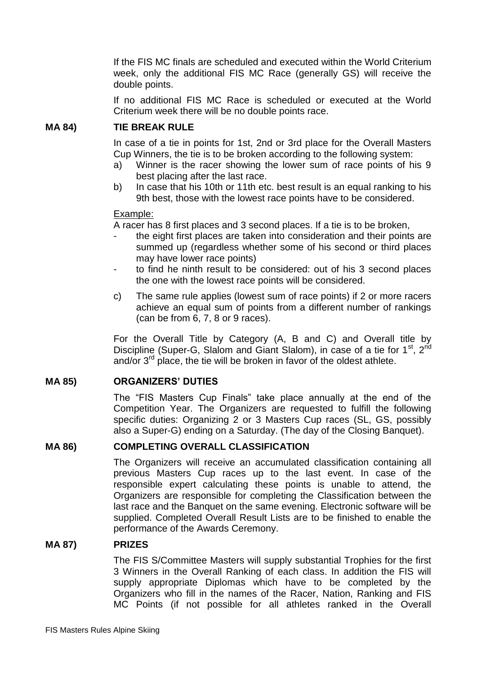If the FIS MC finals are scheduled and executed within the World Criterium week, only the additional FIS MC Race (generally GS) will receive the double points.

If no additional FIS MC Race is scheduled or executed at the World Criterium week there will be no double points race.

#### **MA 84) TIE BREAK RULE**

In case of a tie in points for 1st, 2nd or 3rd place for the Overall Masters Cup Winners, the tie is to be broken according to the following system:

- a) Winner is the racer showing the lower sum of race points of his 9 best placing after the last race.
- b) In case that his 10th or 11th etc. best result is an equal ranking to his 9th best, those with the lowest race points have to be considered.

#### Example:

A racer has 8 first places and 3 second places. If a tie is to be broken,

- the eight first places are taken into consideration and their points are summed up (regardless whether some of his second or third places may have lower race points)
- to find he ninth result to be considered: out of his 3 second places the one with the lowest race points will be considered.
- c) The same rule applies (lowest sum of race points) if 2 or more racers achieve an equal sum of points from a different number of rankings (can be from 6, 7, 8 or 9 races).

For the Overall Title by Category (A, B and C) and Overall title by Discipline (Super-G, Slalom and Giant Slalom), in case of a tie for 1<sup>st</sup>, 2<sup>nd</sup> and/or  $3<sup>rd</sup>$  place, the tie will be broken in favor of the oldest athlete.

#### **MA 85) ORGANIZERS' DUTIES**

The "FIS Masters Cup Finals" take place annually at the end of the Competition Year. The Organizers are requested to fulfill the following specific duties: Organizing 2 or 3 Masters Cup races (SL, GS, possibly also a Super-G) ending on a Saturday. (The day of the Closing Banquet).

#### **MA 86) COMPLETING OVERALL CLASSIFICATION**

The Organizers will receive an accumulated classification containing all previous Masters Cup races up to the last event. In case of the responsible expert calculating these points is unable to attend, the Organizers are responsible for completing the Classification between the last race and the Banquet on the same evening. Electronic software will be supplied. Completed Overall Result Lists are to be finished to enable the performance of the Awards Ceremony.

#### **MA 87) PRIZES**

The FIS S/Committee Masters will supply substantial Trophies for the first 3 Winners in the Overall Ranking of each class. In addition the FIS will supply appropriate Diplomas which have to be completed by the Organizers who fill in the names of the Racer, Nation, Ranking and FIS MC Points (if not possible for all athletes ranked in the Overall